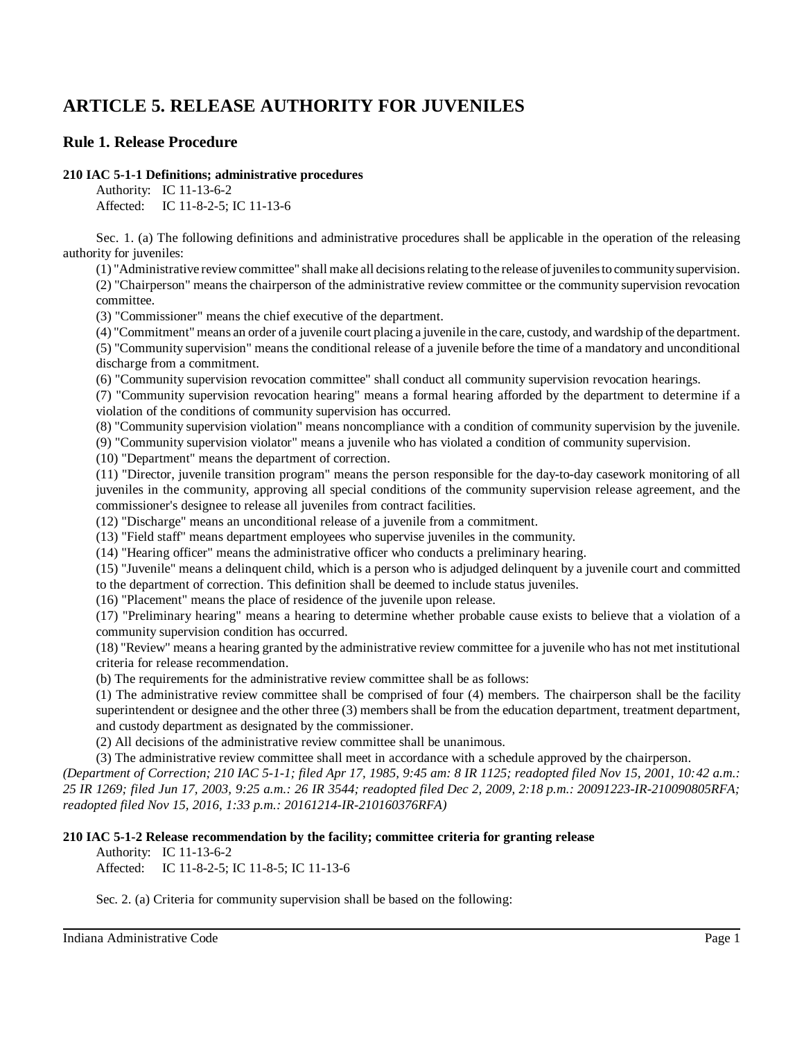# **ARTICLE 5. RELEASE AUTHORITY FOR JUVENILES**

## **Rule 1. Release Procedure**

#### **210 IAC 5-1-1 Definitions; administrative procedures**

Authority: IC 11-13-6-2 Affected: IC 11-8-2-5; IC 11-13-6

Sec. 1. (a) The following definitions and administrative procedures shall be applicable in the operation of the releasing authority for juveniles:

(1) "Administrative reviewcommittee" shall make all decisionsrelating to the release ofjuvenilesto communitysupervision. (2) "Chairperson" means the chairperson of the administrative review committee or the community supervision revocation committee.

(3) "Commissioner" means the chief executive of the department.

(4) "Commitment" means an order of a juvenile court placing a juvenile in the care, custody, and wardship ofthe department. (5) "Community supervision" means the conditional release of a juvenile before the time of a mandatory and unconditional discharge from a commitment.

(6) "Community supervision revocation committee" shall conduct all community supervision revocation hearings.

(7) "Community supervision revocation hearing" means a formal hearing afforded by the department to determine if a violation of the conditions of community supervision has occurred.

(8) "Community supervision violation" means noncompliance with a condition of community supervision by the juvenile.

(9) "Community supervision violator" means a juvenile who has violated a condition of community supervision.

(10) "Department" means the department of correction.

(11) "Director, juvenile transition program" means the person responsible for the day-to-day casework monitoring of all juveniles in the community, approving all special conditions of the community supervision release agreement, and the commissioner's designee to release all juveniles from contract facilities.

(12) "Discharge" means an unconditional release of a juvenile from a commitment.

(13) "Field staff" means department employees who supervise juveniles in the community.

(14) "Hearing officer" means the administrative officer who conducts a preliminary hearing.

(15) "Juvenile" means a delinquent child, which is a person who is adjudged delinquent by a juvenile court and committed to the department of correction. This definition shall be deemed to include status juveniles.

(16) "Placement" means the place of residence of the juvenile upon release.

(17) "Preliminary hearing" means a hearing to determine whether probable cause exists to believe that a violation of a community supervision condition has occurred.

(18) "Review" means a hearing granted by the administrative review committee for a juvenile who has not met institutional criteria for release recommendation.

(b) The requirements for the administrative review committee shall be as follows:

(1) The administrative review committee shall be comprised of four (4) members. The chairperson shall be the facility superintendent or designee and the other three (3) members shall be from the education department, treatment department, and custody department as designated by the commissioner.

(2) All decisions of the administrative review committee shall be unanimous.

(3) The administrative review committee shall meet in accordance with a schedule approved by the chairperson.

*(Department of Correction; 210 IAC 5-1-1; filed Apr 17, 1985, 9:45 am: 8 IR 1125; readopted filed Nov 15, 2001, 10:42 a.m.: 25 IR 1269; filed Jun 17, 2003, 9:25 a.m.: 26 IR 3544; readopted filed Dec 2, 2009, 2:18 p.m.: 20091223-IR-210090805RFA; readopted filed Nov 15, 2016, 1:33 p.m.: 20161214-IR-210160376RFA)*

**210 IAC 5-1-2 Release recommendation by the facility; committee criteria for granting release**

Authority: IC 11-13-6-2

Affected: IC 11-8-2-5; IC 11-8-5; IC 11-13-6

Sec. 2. (a) Criteria for community supervision shall be based on the following: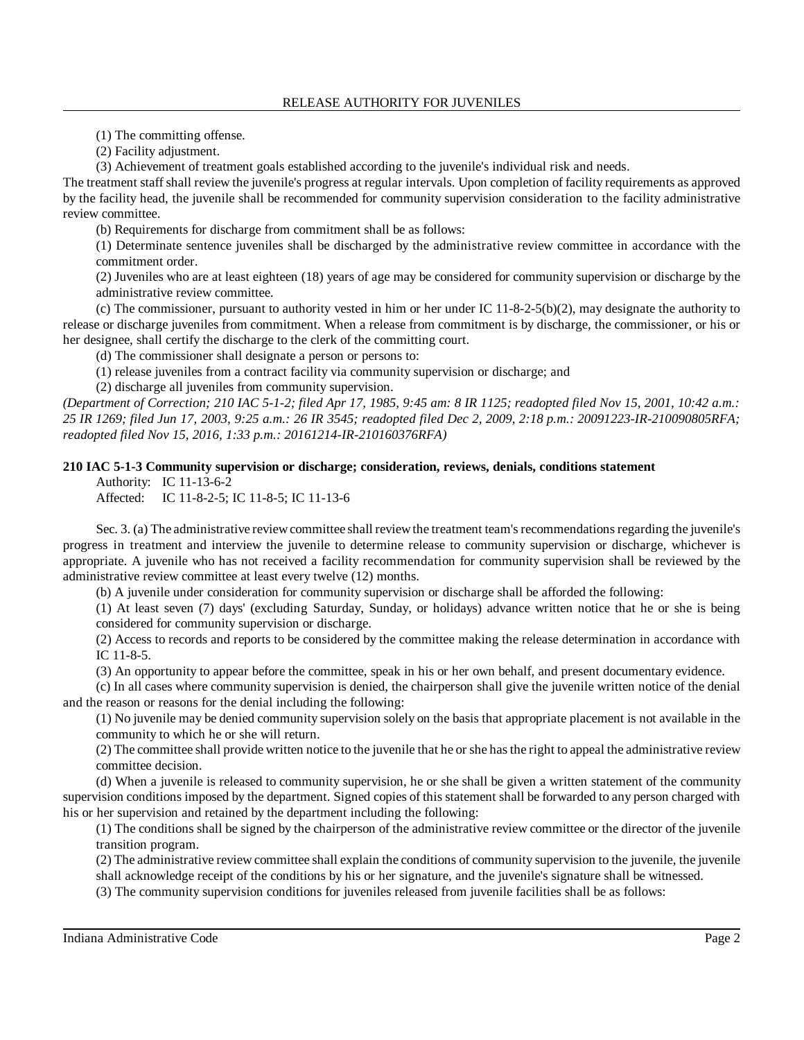(1) The committing offense.

(2) Facility adjustment.

(3) Achievement of treatment goals established according to the juvenile's individual risk and needs.

The treatment staffshall review the juvenile's progress at regular intervals. Upon completion of facility requirements as approved by the facility head, the juvenile shall be recommended for community supervision consideration to the facility administrative review committee.

(b) Requirements for discharge from commitment shall be as follows:

(1) Determinate sentence juveniles shall be discharged by the administrative review committee in accordance with the commitment order.

(2) Juveniles who are at least eighteen (18) years of age may be considered for community supervision or discharge by the administrative review committee.

(c) The commissioner, pursuant to authority vested in him or her under IC 11-8-2-5(b)(2), may designate the authority to release or discharge juveniles from commitment. When a release from commitment is by discharge, the commissioner, or his or her designee, shall certify the discharge to the clerk of the committing court.

(d) The commissioner shall designate a person or persons to:

(1) release juveniles from a contract facility via community supervision or discharge; and

(2) discharge all juveniles from community supervision.

*(Department of Correction; 210 IAC 5-1-2; filed Apr 17, 1985, 9:45 am: 8 IR 1125; readopted filed Nov 15, 2001, 10:42 a.m.: 25 IR 1269; filed Jun 17, 2003, 9:25 a.m.: 26 IR 3545; readopted filed Dec 2, 2009, 2:18 p.m.: 20091223-IR-210090805RFA; readopted filed Nov 15, 2016, 1:33 p.m.: 20161214-IR-210160376RFA)*

### **210 IAC 5-1-3 Community supervision or discharge; consideration, reviews, denials, conditions statement**

Authority: IC 11-13-6-2

Affected: IC 11-8-2-5; IC 11-8-5; IC 11-13-6

Sec. 3. (a) The administrative review committee shall review the treatment team's recommendations regarding the juvenile's progress in treatment and interview the juvenile to determine release to community supervision or discharge, whichever is appropriate. A juvenile who has not received a facility recommendation for community supervision shall be reviewed by the administrative review committee at least every twelve (12) months.

(b) A juvenile under consideration for community supervision or discharge shall be afforded the following:

(1) At least seven (7) days' (excluding Saturday, Sunday, or holidays) advance written notice that he or she is being considered for community supervision or discharge.

(2) Access to records and reports to be considered by the committee making the release determination in accordance with IC 11-8-5.

(3) An opportunity to appear before the committee, speak in his or her own behalf, and present documentary evidence.

(c) In all cases where community supervision is denied, the chairperson shall give the juvenile written notice of the denial and the reason or reasons for the denial including the following:

(1) No juvenile may be denied community supervision solely on the basis that appropriate placement is not available in the community to which he or she will return.

(2) The committee shall provide written notice to the juvenile that he or she hasthe right to appeal the administrative review committee decision.

(d) When a juvenile is released to community supervision, he or she shall be given a written statement of the community supervision conditions imposed by the department. Signed copies of this statement shall be forwarded to any person charged with his or her supervision and retained by the department including the following:

(1) The conditions shall be signed by the chairperson of the administrative review committee or the director of the juvenile transition program.

(2) The administrative review committee shall explain the conditions of community supervision to the juvenile, the juvenile shall acknowledge receipt of the conditions by his or her signature, and the juvenile's signature shall be witnessed.

(3) The community supervision conditions for juveniles released from juvenile facilities shall be as follows: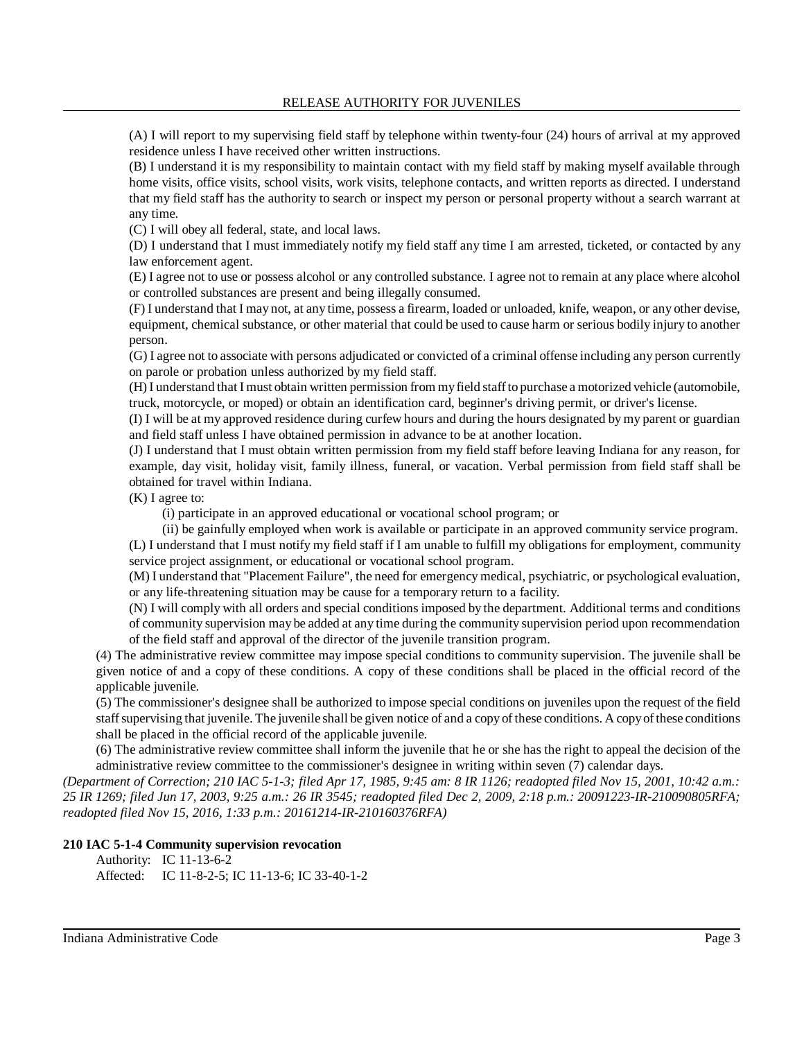(A) I will report to my supervising field staff by telephone within twenty-four (24) hours of arrival at my approved residence unless I have received other written instructions.

(B) I understand it is my responsibility to maintain contact with my field staff by making myself available through home visits, office visits, school visits, work visits, telephone contacts, and written reports as directed. I understand that my field staff has the authority to search or inspect my person or personal property without a search warrant at any time.

(C) I will obey all federal, state, and local laws.

(D) I understand that I must immediately notify my field staff any time I am arrested, ticketed, or contacted by any law enforcement agent.

(E) I agree not to use or possess alcohol or any controlled substance. I agree not to remain at any place where alcohol or controlled substances are present and being illegally consumed.

(F) I understand that I may not, at any time, possess a firearm, loaded or unloaded, knife, weapon, or any other devise, equipment, chemical substance, or other material that could be used to cause harm or serious bodily injury to another person.

(G) I agree not to associate with persons adjudicated or convicted of a criminal offense including any person currently on parole or probation unless authorized by my field staff.

(H) I understand that I must obtain written permission from myfield staffto purchase a motorized vehicle (automobile, truck, motorcycle, or moped) or obtain an identification card, beginner's driving permit, or driver's license.

(I) I will be at my approved residence during curfew hours and during the hours designated by my parent or guardian and field staff unless I have obtained permission in advance to be at another location.

(J) I understand that I must obtain written permission from my field staff before leaving Indiana for any reason, for example, day visit, holiday visit, family illness, funeral, or vacation. Verbal permission from field staff shall be obtained for travel within Indiana.

(K) I agree to:

(i) participate in an approved educational or vocational school program; or

(ii) be gainfully employed when work is available or participate in an approved community service program. (L) I understand that I must notify my field staff if I am unable to fulfill my obligations for employment, community service project assignment, or educational or vocational school program.

(M) I understand that "Placement Failure", the need for emergency medical, psychiatric, or psychological evaluation, or any life-threatening situation may be cause for a temporary return to a facility.

(N) I will comply with all orders and special conditions imposed by the department. Additional terms and conditions of community supervision may be added at any time during the community supervision period upon recommendation of the field staff and approval of the director of the juvenile transition program.

(4) The administrative review committee may impose special conditions to community supervision. The juvenile shall be given notice of and a copy of these conditions. A copy of these conditions shall be placed in the official record of the applicable juvenile.

(5) The commissioner's designee shall be authorized to impose special conditions on juveniles upon the request of the field staffsupervising that juvenile. The juvenile shall be given notice of and a copy of these conditions. A copyofthese conditions shall be placed in the official record of the applicable juvenile.

(6) The administrative review committee shall inform the juvenile that he or she has the right to appeal the decision of the administrative review committee to the commissioner's designee in writing within seven (7) calendar days.

*(Department of Correction; 210 IAC 5-1-3; filed Apr 17, 1985, 9:45 am: 8 IR 1126; readopted filed Nov 15, 2001, 10:42 a.m.: 25 IR 1269; filed Jun 17, 2003, 9:25 a.m.: 26 IR 3545; readopted filed Dec 2, 2009, 2:18 p.m.: 20091223-IR-210090805RFA; readopted filed Nov 15, 2016, 1:33 p.m.: 20161214-IR-210160376RFA)*

#### **210 IAC 5-1-4 Community supervision revocation**

Authority: IC 11-13-6-2 Affected: IC 11-8-2-5; IC 11-13-6; IC 33-40-1-2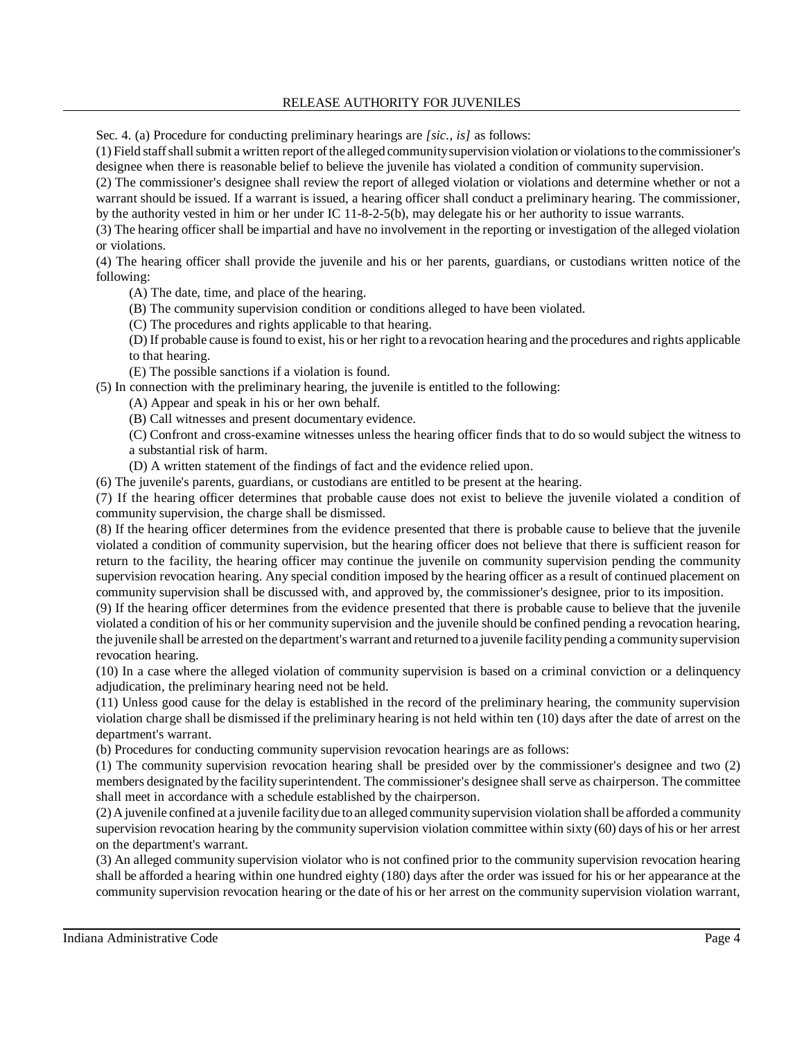Sec. 4. (a) Procedure for conducting preliminary hearings are *[sic., is]* as follows:

(1) Field staffshallsubmit a written report ofthe alleged communitysupervision violation or violationsto the commissioner's designee when there is reasonable belief to believe the juvenile has violated a condition of community supervision.

(2) The commissioner's designee shall review the report of alleged violation or violations and determine whether or not a warrant should be issued. If a warrant is issued, a hearing officer shall conduct a preliminary hearing. The commissioner, by the authority vested in him or her under IC 11-8-2-5(b), may delegate his or her authority to issue warrants.

(3) The hearing officer shall be impartial and have no involvement in the reporting or investigation of the alleged violation or violations.

(4) The hearing officer shall provide the juvenile and his or her parents, guardians, or custodians written notice of the following:

(A) The date, time, and place of the hearing.

(B) The community supervision condition or conditions alleged to have been violated.

(C) The procedures and rights applicable to that hearing.

(D) If probable cause isfound to exist, his or her right to a revocation hearing and the procedures and rights applicable to that hearing.

(E) The possible sanctions if a violation is found.

(5) In connection with the preliminary hearing, the juvenile is entitled to the following:

(A) Appear and speak in his or her own behalf.

(B) Call witnesses and present documentary evidence.

(C) Confront and cross-examine witnesses unless the hearing officer finds that to do so would subject the witness to a substantial risk of harm.

(D) A written statement of the findings of fact and the evidence relied upon.

(6) The juvenile's parents, guardians, or custodians are entitled to be present at the hearing.

(7) If the hearing officer determines that probable cause does not exist to believe the juvenile violated a condition of community supervision, the charge shall be dismissed.

(8) If the hearing officer determines from the evidence presented that there is probable cause to believe that the juvenile violated a condition of community supervision, but the hearing officer does not believe that there is sufficient reason for return to the facility, the hearing officer may continue the juvenile on community supervision pending the community supervision revocation hearing. Any special condition imposed by the hearing officer as a result of continued placement on community supervision shall be discussed with, and approved by, the commissioner's designee, prior to its imposition.

(9) If the hearing officer determines from the evidence presented that there is probable cause to believe that the juvenile violated a condition of his or her community supervision and the juvenile should be confined pending a revocation hearing, the juvenile shall be arrested on the department's warrant and returned toa juvenile facilitypending a communitysupervision revocation hearing.

(10) In a case where the alleged violation of community supervision is based on a criminal conviction or a delinquency adjudication, the preliminary hearing need not be held.

(11) Unless good cause for the delay is established in the record of the preliminary hearing, the community supervision violation charge shall be dismissed if the preliminary hearing is not held within ten (10) days after the date of arrest on the department's warrant.

(b) Procedures for conducting community supervision revocation hearings are as follows:

(1) The community supervision revocation hearing shall be presided over by the commissioner's designee and two (2) members designated by the facility superintendent. The commissioner's designee shall serve as chairperson. The committee shall meet in accordance with a schedule established by the chairperson.

(2) Ajuvenile confined at a juvenile facilitydue to an alleged communitysupervision violation shall be afforded a community supervision revocation hearing by the community supervision violation committee within sixty (60) days of his or her arrest on the department's warrant.

(3) An alleged community supervision violator who is not confined prior to the community supervision revocation hearing shall be afforded a hearing within one hundred eighty (180) days after the order was issued for his or her appearance at the community supervision revocation hearing or the date of his or her arrest on the community supervision violation warrant,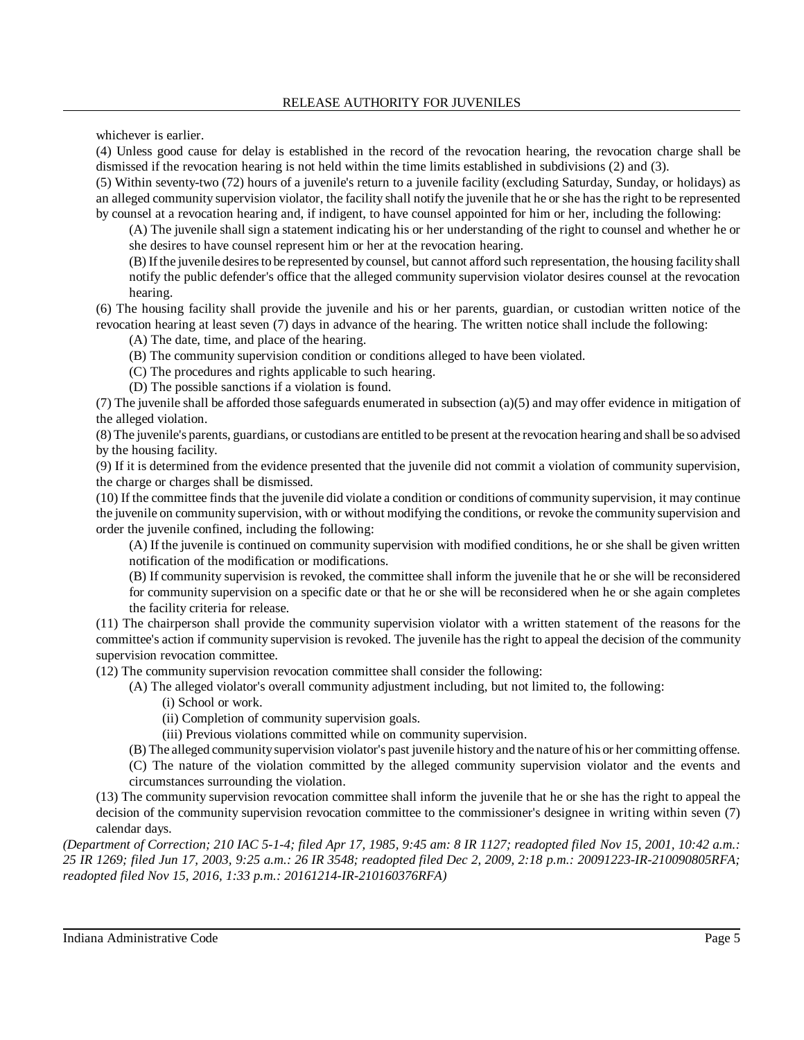whichever is earlier.

(4) Unless good cause for delay is established in the record of the revocation hearing, the revocation charge shall be dismissed if the revocation hearing is not held within the time limits established in subdivisions (2) and (3).

(5) Within seventy-two (72) hours of a juvenile's return to a juvenile facility (excluding Saturday, Sunday, or holidays) as an alleged community supervision violator, the facility shall notify the juvenile that he or she has the right to be represented by counsel at a revocation hearing and, if indigent, to have counsel appointed for him or her, including the following:

(A) The juvenile shall sign a statement indicating his or her understanding of the right to counsel and whether he or she desires to have counsel represent him or her at the revocation hearing.

(B) Ifthe juvenile desiresto be represented by counsel, but cannot afford such representation, the housing facilityshall notify the public defender's office that the alleged community supervision violator desires counsel at the revocation hearing.

(6) The housing facility shall provide the juvenile and his or her parents, guardian, or custodian written notice of the revocation hearing at least seven (7) days in advance of the hearing. The written notice shall include the following:

(A) The date, time, and place of the hearing.

(B) The community supervision condition or conditions alleged to have been violated.

(C) The procedures and rights applicable to such hearing.

(D) The possible sanctions if a violation is found.

(7) The juvenile shall be afforded those safeguards enumerated in subsection (a)(5) and may offer evidence in mitigation of the alleged violation.

(8) The juvenile's parents, guardians, or custodians are entitled to be present at the revocation hearing and shall be so advised by the housing facility.

(9) If it is determined from the evidence presented that the juvenile did not commit a violation of community supervision, the charge or charges shall be dismissed.

(10) If the committee finds that the juvenile did violate a condition or conditions of community supervision, it may continue the juvenile on community supervision, with or without modifying the conditions, or revoke the community supervision and order the juvenile confined, including the following:

(A) If the juvenile is continued on community supervision with modified conditions, he or she shall be given written notification of the modification or modifications.

(B) If community supervision is revoked, the committee shall inform the juvenile that he or she will be reconsidered for community supervision on a specific date or that he or she will be reconsidered when he or she again completes the facility criteria for release.

(11) The chairperson shall provide the community supervision violator with a written statement of the reasons for the committee's action if community supervision is revoked. The juvenile has the right to appeal the decision of the community supervision revocation committee.

(12) The community supervision revocation committee shall consider the following:

(A) The alleged violator's overall community adjustment including, but not limited to, the following:

(i) School or work.

(ii) Completion of community supervision goals.

(iii) Previous violations committed while on community supervision.

(B) The alleged communitysupervision violator's past juvenile history and the nature of his or her committing offense.

(C) The nature of the violation committed by the alleged community supervision violator and the events and

circumstances surrounding the violation.

(13) The community supervision revocation committee shall inform the juvenile that he or she has the right to appeal the decision of the community supervision revocation committee to the commissioner's designee in writing within seven (7) calendar days.

*(Department of Correction; 210 IAC 5-1-4; filed Apr 17, 1985, 9:45 am: 8 IR 1127; readopted filed Nov 15, 2001, 10:42 a.m.: 25 IR 1269; filed Jun 17, 2003, 9:25 a.m.: 26 IR 3548; readopted filed Dec 2, 2009, 2:18 p.m.: 20091223-IR-210090805RFA; readopted filed Nov 15, 2016, 1:33 p.m.: 20161214-IR-210160376RFA)*